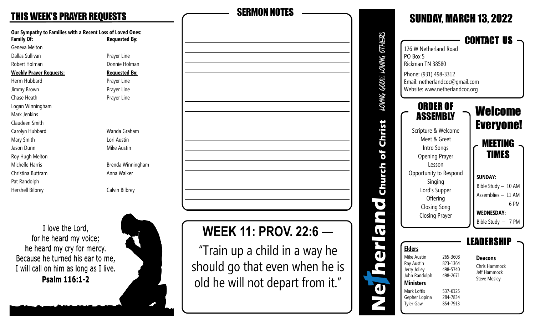| <b>Our Sympathy to Families with a Recent Loss of Loved Ones:</b><br>Family Of: | <u> Requested By:</u> |
|---------------------------------------------------------------------------------|-----------------------|
| Geneva Melton                                                                   |                       |
| Dallas Sullivan                                                                 | Prayer Line           |
| Robert Holman                                                                   | Donnie Holman         |
| <b>Weekly Prayer Requests:</b>                                                  | <u> Requested By:</u> |
| Herm Hubbard                                                                    | Prayer Line           |
| Jimmy Brown                                                                     | Prayer Line           |
| Chase Heath                                                                     | Prayer Line           |
| Logan Winningham                                                                |                       |
| Mark Jenkins                                                                    |                       |
| Claudeen Smith                                                                  |                       |
| Carolyn Hubbard                                                                 | Wanda Graham          |
| Mary Smith                                                                      | Lori Austin           |
| Jason Dunn                                                                      | Mike Austin           |
| Roy Hugh Melton                                                                 |                       |
| Michelle Harris                                                                 | Brenda Winningh       |
| Christina Buttram                                                               | Anna Walker           |
| Pat Randolph                                                                    |                       |
| Hershell Bilbrey                                                                | Calvin Bilbrey        |
|                                                                                 |                       |

**Requested By:** Prayer Line Donnie Holman **Requested By:** Prayer Line Prayer Line Prayer Line Wanda Graham Lori Austin Mike Austin Brenda Winningham Anna Walker

I love the Lord, for he heard my voice; he heard my cry for mercy. Because he turned his ear to me, I will call on him as long as I live. Psalm 116:1-2





# **WEEK 11: PROV. 22:6 —**

"Train up a child in a way he should go that even when he is old he will not depart from it."

|                             |                                                                                                                                                                                                                                 |                                                                                  | JUNUMI, MMIIUII IU, ZUZZ                                                                                                                                                        |
|-----------------------------|---------------------------------------------------------------------------------------------------------------------------------------------------------------------------------------------------------------------------------|----------------------------------------------------------------------------------|---------------------------------------------------------------------------------------------------------------------------------------------------------------------------------|
| <i>UMMA GOD⊠ LOWMG OTHI</i> | 126 W Netherland Road<br>PO Box 5<br>Rickman TN 38580<br>Phone: (931) 498-3312<br>Email: netherlandcoc@gmail.com<br>Website: www.netherlandcoc.org                                                                              |                                                                                  | CONTACT US                                                                                                                                                                      |
| urch of Christ              | ORDER OF<br>ASSEMBLY<br>Scripture & Welcome<br>Meet & Greet<br>Intro Songs<br><b>Opening Prayer</b><br>Lesson<br>Opportunity to Respond<br>Singing<br>Lord's Supper<br>Offering<br><b>Closing Song</b><br><b>Closing Prayer</b> |                                                                                  | Welcome<br><b>Everyone!</b><br><b>MEETING</b><br><b>TIMES</b><br><b>SUNDAY:</b><br>Bible Study - 10 AM<br>Assemblies - 11 AM<br>6 PM<br><b>WEDNESDAY:</b><br>Bible Study - 7 PM |
|                             | <b>Elders</b><br>Mike Austin<br>Ray Austin<br>Jerry Jolley<br>John Randolph<br><b>Ministers</b><br>Mark Loftis<br>Gepher Lopina<br><b>Tyler Gaw</b>                                                                             | 265-3608<br>823-1364<br>498-5740<br>498-2671<br>537-6125<br>284-7834<br>854-7913 | EADERSH<br><u>Deacons</u><br>Chris Hammock<br>Jeff Hammock<br><b>Steve Mosley</b>                                                                                               |

SUNDAY, MARCH 13, 2022